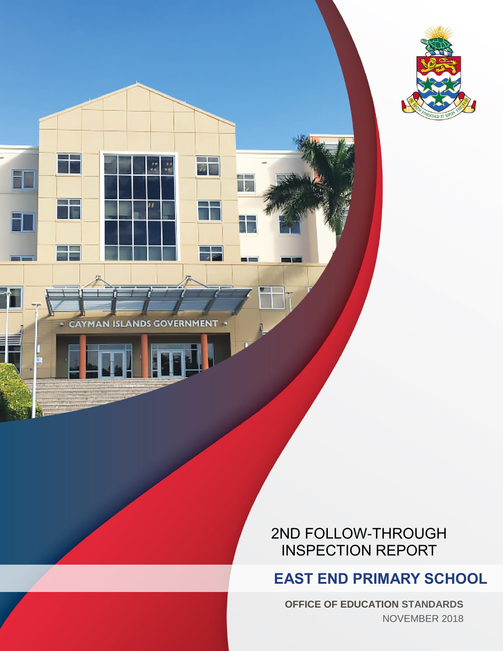

**CAYMAN ISLANDS GOVERNMENT** 

 $\overline{u}$ 

--

 $\frac{1}{\sqrt{2}}$ 

自言

## 2ND FOLLOW-THROUGH INSPECTION REPORT

# **EAST END PRIMARY SCHOOL**

**OFFICE OF EDUCATION STANDARDS** NOVEMBER 2018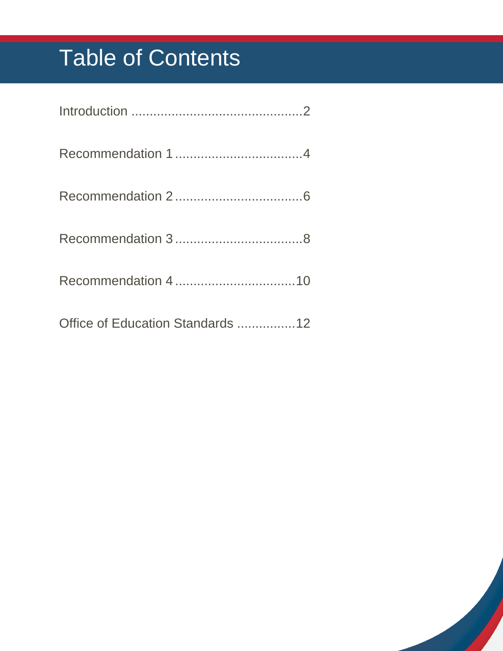# Table of Contents

| Office of Education Standards 12 |
|----------------------------------|

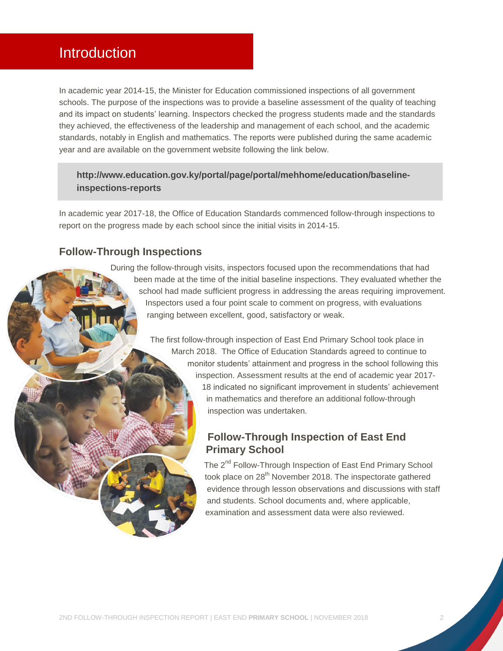## <span id="page-2-0"></span>**Introduction**

In academic year 2014-15, the Minister for Education commissioned inspections of all government schools. The purpose of the inspections was to provide a baseline assessment of the quality of teaching and its impact on students' learning. Inspectors checked the progress students made and the standards they achieved, the effectiveness of the leadership and management of each school, and the academic standards, notably in English and mathematics. The reports were published during the same academic year and are available on the government website following the link below.

#### **[http://www.education.gov.ky/portal/page/portal/mehhome/education/baseline](http://www.education.gov.ky/portal/page/portal/mehhome/education/baseline-inspections-reports)[inspections-reports](http://www.education.gov.ky/portal/page/portal/mehhome/education/baseline-inspections-reports)**

In academic year 2017-18, the Office of Education Standards commenced follow-through inspections to report on the progress made by each school since the initial visits in 2014-15.

#### **Follow-Through Inspections**

During the follow-through visits, inspectors focused upon the recommendations that had been made at the time of the initial baseline inspections. They evaluated whether the school had made sufficient progress in addressing the areas requiring improvement. Inspectors used a four point scale to comment on progress, with evaluations ranging between excellent, good, satisfactory or weak.

> The first follow-through inspection of East End Primary School took place in March 2018. The Office of Education Standards agreed to continue to monitor students' attainment and progress in the school following this inspection. Assessment results at the end of academic year 2017- 18 indicated no significant improvement in students' achievement in mathematics and therefore an additional follow-through inspection was undertaken.

#### **Follow-Through Inspection of East End Primary School**

The 2<sup>nd</sup> Follow-Through Inspection of East End Primary School took place on 28<sup>th</sup> November 2018. The inspectorate gathered evidence through lesson observations and discussions with staff and students. School documents and, where applicable, examination and assessment data were also reviewed.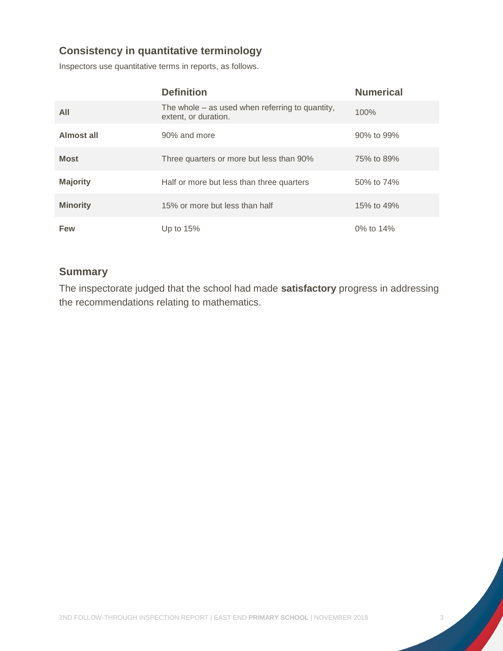#### **Consistency in quantitative terminology**

Inspectors use quantitative terms in reports, as follows.

|                 | <b>Definition</b>                                                         | <b>Numerical</b> |
|-----------------|---------------------------------------------------------------------------|------------------|
| All             | The whole $-$ as used when referring to quantity,<br>extent, or duration. | 100%             |
| Almost all      | 90% and more                                                              | 90% to 99%       |
| <b>Most</b>     | Three quarters or more but less than 90%                                  | 75% to 89%       |
| <b>Majority</b> | Half or more but less than three quarters                                 | 50% to 74%       |
| <b>Minority</b> | 15% or more but less than half                                            | 15% to 49%       |
| <b>Few</b>      | Up to $15%$                                                               | 0% to 14%        |

#### **Summary**

The inspectorate judged that the school had made **satisfactory** progress in addressing the recommendations relating to mathematics.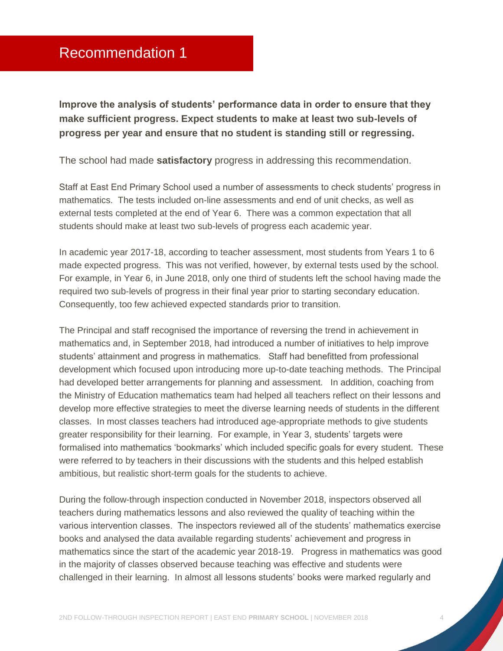## <span id="page-4-0"></span>Recommendation 1

**Improve the analysis of students' performance data in order to ensure that they make sufficient progress. Expect students to make at least two sub-levels of progress per year and ensure that no student is standing still or regressing.**

The school had made **satisfactory** progress in addressing this recommendation.

Staff at East End Primary School used a number of assessments to check students' progress in mathematics. The tests included on-line assessments and end of unit checks, as well as external tests completed at the end of Year 6. There was a common expectation that all students should make at least two sub-levels of progress each academic year.

In academic year 2017-18, according to teacher assessment, most students from Years 1 to 6 made expected progress. This was not verified, however, by external tests used by the school. For example, in Year 6, in June 2018, only one third of students left the school having made the required two sub-levels of progress in their final year prior to starting secondary education. Consequently, too few achieved expected standards prior to transition.

The Principal and staff recognised the importance of reversing the trend in achievement in mathematics and, in September 2018, had introduced a number of initiatives to help improve students' attainment and progress in mathematics. Staff had benefitted from professional development which focused upon introducing more up-to-date teaching methods. The Principal had developed better arrangements for planning and assessment. In addition, coaching from the Ministry of Education mathematics team had helped all teachers reflect on their lessons and develop more effective strategies to meet the diverse learning needs of students in the different classes. In most classes teachers had introduced age-appropriate methods to give students greater responsibility for their learning. For example, in Year 3, students' targets were formalised into mathematics 'bookmarks' which included specific goals for every student. These were referred to by teachers in their discussions with the students and this helped establish ambitious, but realistic short-term goals for the students to achieve.

During the follow-through inspection conducted in November 2018, inspectors observed all teachers during mathematics lessons and also reviewed the quality of teaching within the various intervention classes. The inspectors reviewed all of the students' mathematics exercise books and analysed the data available regarding students' achievement and progress in mathematics since the start of the academic year 2018-19. Progress in mathematics was good in the majority of classes observed because teaching was effective and students were challenged in their learning. In almost all lessons students' books were marked regularly and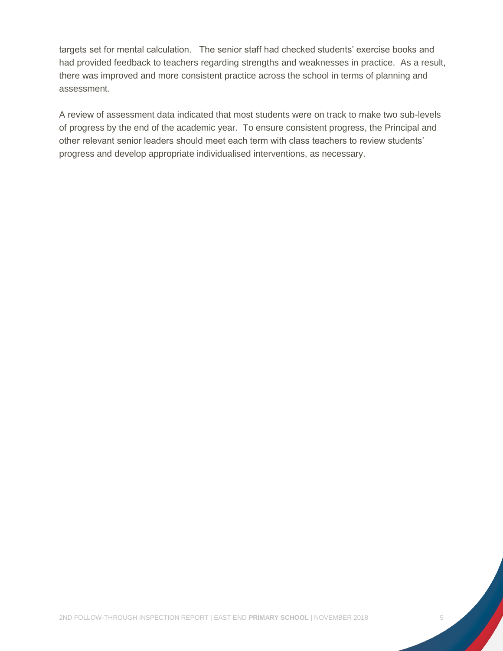targets set for mental calculation. The senior staff had checked students' exercise books and had provided feedback to teachers regarding strengths and weaknesses in practice. As a result, there was improved and more consistent practice across the school in terms of planning and assessment.

A review of assessment data indicated that most students were on track to make two sub-levels of progress by the end of the academic year. To ensure consistent progress, the Principal and other relevant senior leaders should meet each term with class teachers to review students' progress and develop appropriate individualised interventions, as necessary.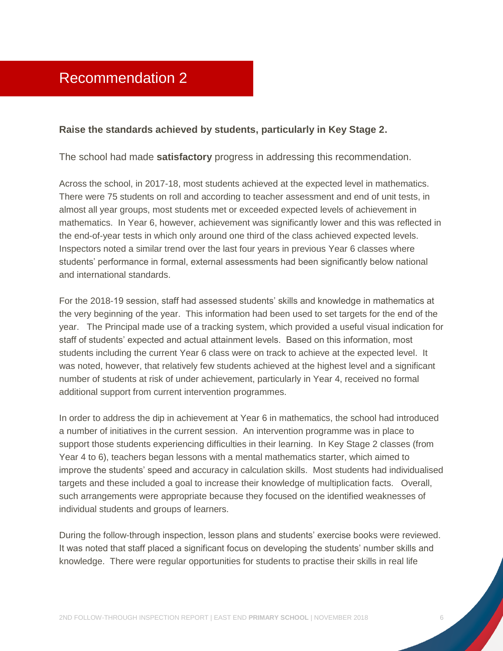#### <span id="page-6-0"></span>**Raise the standards achieved by students, particularly in Key Stage 2.**

The school had made **satisfactory** progress in addressing this recommendation.

Across the school, in 2017-18, most students achieved at the expected level in mathematics. There were 75 students on roll and according to teacher assessment and end of unit tests, in almost all year groups, most students met or exceeded expected levels of achievement in mathematics. In Year 6, however, achievement was significantly lower and this was reflected in the end-of-year tests in which only around one third of the class achieved expected levels. Inspectors noted a similar trend over the last four years in previous Year 6 classes where students' performance in formal, external assessments had been significantly below national and international standards.

For the 2018-19 session, staff had assessed students' skills and knowledge in mathematics at the very beginning of the year. This information had been used to set targets for the end of the year. The Principal made use of a tracking system, which provided a useful visual indication for staff of students' expected and actual attainment levels. Based on this information, most students including the current Year 6 class were on track to achieve at the expected level. It was noted, however, that relatively few students achieved at the highest level and a significant number of students at risk of under achievement, particularly in Year 4, received no formal additional support from current intervention programmes.

In order to address the dip in achievement at Year 6 in mathematics, the school had introduced a number of initiatives in the current session. An intervention programme was in place to support those students experiencing difficulties in their learning. In Key Stage 2 classes (from Year 4 to 6), teachers began lessons with a mental mathematics starter, which aimed to improve the students' speed and accuracy in calculation skills. Most students had individualised targets and these included a goal to increase their knowledge of multiplication facts. Overall, such arrangements were appropriate because they focused on the identified weaknesses of individual students and groups of learners.

During the follow-through inspection, lesson plans and students' exercise books were reviewed. It was noted that staff placed a significant focus on developing the students' number skills and knowledge. There were regular opportunities for students to practise their skills in real life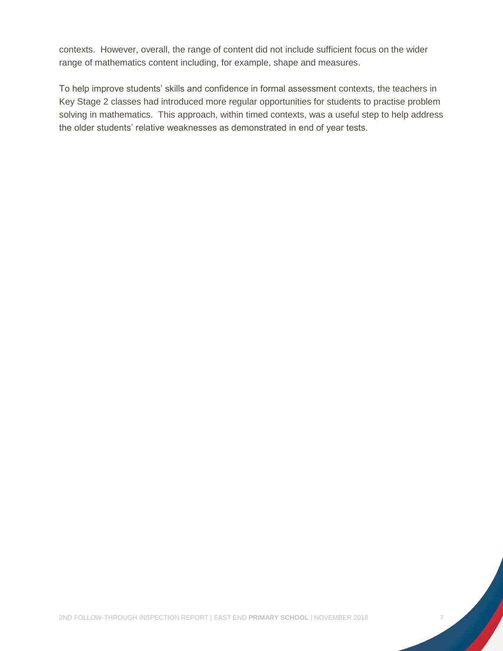contexts. However, overall, the range of content did not include sufficient focus on the wider range of mathematics content including, for example, shape and measures.

To help improve students' skills and confidence in formal assessment contexts, the teachers in Key Stage 2 classes had introduced more regular opportunities for students to practise problem solving in mathematics. This approach, within timed contexts, was a useful step to help address the older students' relative weaknesses as demonstrated in end of year tests.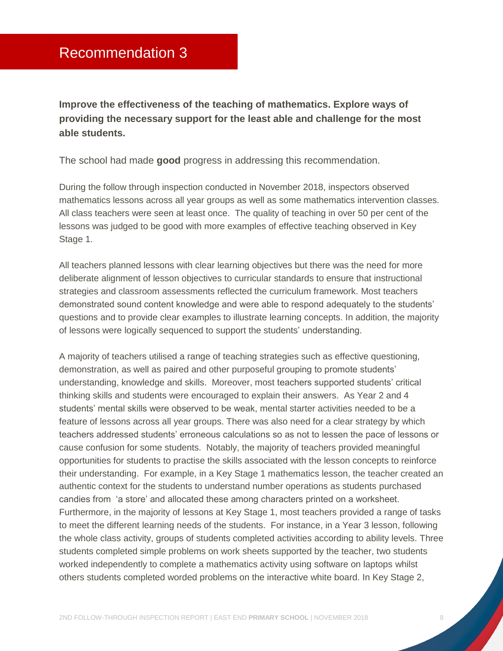<span id="page-8-0"></span>**Improve the effectiveness of the teaching of mathematics. Explore ways of providing the necessary support for the least able and challenge for the most able students.**

The school had made **good** progress in addressing this recommendation.

During the follow through inspection conducted in November 2018, inspectors observed mathematics lessons across all year groups as well as some mathematics intervention classes. All class teachers were seen at least once. The quality of teaching in over 50 per cent of the lessons was judged to be good with more examples of effective teaching observed in Key Stage 1.

All teachers planned lessons with clear learning objectives but there was the need for more deliberate alignment of lesson objectives to curricular standards to ensure that instructional strategies and classroom assessments reflected the curriculum framework. Most teachers demonstrated sound content knowledge and were able to respond adequately to the students' questions and to provide clear examples to illustrate learning concepts. In addition, the majority of lessons were logically sequenced to support the students' understanding.

A majority of teachers utilised a range of teaching strategies such as effective questioning, demonstration, as well as paired and other purposeful grouping to promote students' understanding, knowledge and skills. Moreover, most teachers supported students' critical thinking skills and students were encouraged to explain their answers. As Year 2 and 4 students' mental skills were observed to be weak, mental starter activities needed to be a feature of lessons across all year groups. There was also need for a clear strategy by which teachers addressed students' erroneous calculations so as not to lessen the pace of lessons or cause confusion for some students. Notably, the majority of teachers provided meaningful opportunities for students to practise the skills associated with the lesson concepts to reinforce their understanding. For example, in a Key Stage 1 mathematics lesson, the teacher created an authentic context for the students to understand number operations as students purchased candies from 'a store' and allocated these among characters printed on a worksheet. Furthermore, in the majority of lessons at Key Stage 1, most teachers provided a range of tasks to meet the different learning needs of the students. For instance, in a Year 3 lesson, following the whole class activity, groups of students completed activities according to ability levels. Three students completed simple problems on work sheets supported by the teacher, two students worked independently to complete a mathematics activity using software on laptops whilst others students completed worded problems on the interactive white board. In Key Stage 2,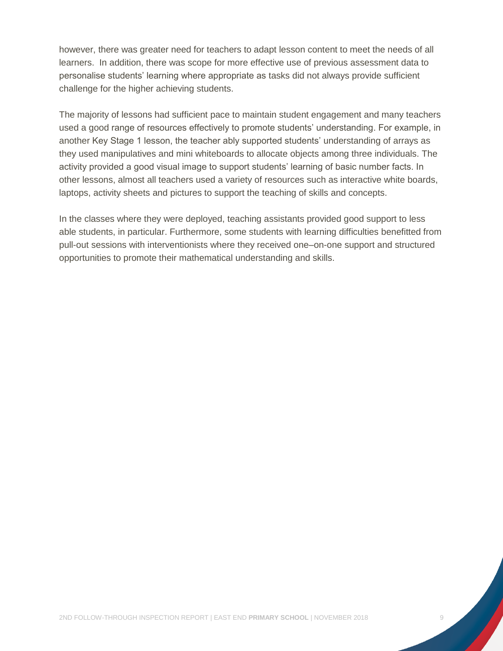however, there was greater need for teachers to adapt lesson content to meet the needs of all learners. In addition, there was scope for more effective use of previous assessment data to personalise students' learning where appropriate as tasks did not always provide sufficient challenge for the higher achieving students.

The majority of lessons had sufficient pace to maintain student engagement and many teachers used a good range of resources effectively to promote students' understanding. For example, in another Key Stage 1 lesson, the teacher ably supported students' understanding of arrays as they used manipulatives and mini whiteboards to allocate objects among three individuals. The activity provided a good visual image to support students' learning of basic number facts. In other lessons, almost all teachers used a variety of resources such as interactive white boards, laptops, activity sheets and pictures to support the teaching of skills and concepts.

In the classes where they were deployed, teaching assistants provided good support to less able students, in particular. Furthermore, some students with learning difficulties benefitted from pull-out sessions with interventionists where they received one–on-one support and structured opportunities to promote their mathematical understanding and skills.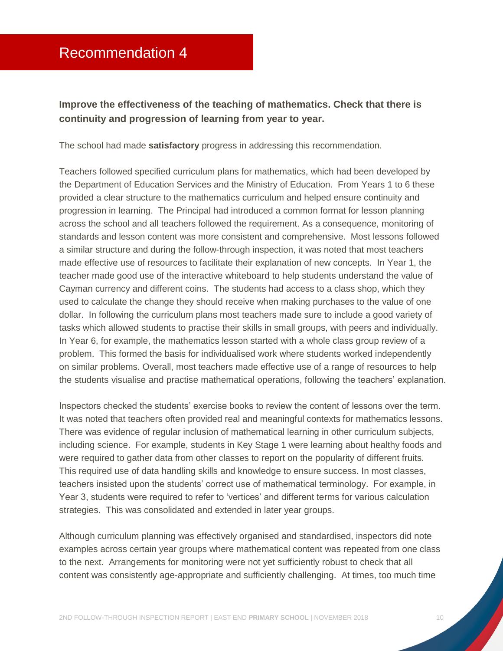### <span id="page-10-0"></span>Recommendation 4

#### **Improve the effectiveness of the teaching of mathematics. Check that there is continuity and progression of learning from year to year.**

The school had made **satisfactory** progress in addressing this recommendation.

Teachers followed specified curriculum plans for mathematics, which had been developed by the Department of Education Services and the Ministry of Education. From Years 1 to 6 these provided a clear structure to the mathematics curriculum and helped ensure continuity and progression in learning. The Principal had introduced a common format for lesson planning across the school and all teachers followed the requirement. As a consequence, monitoring of standards and lesson content was more consistent and comprehensive. Most lessons followed a similar structure and during the follow-through inspection, it was noted that most teachers made effective use of resources to facilitate their explanation of new concepts. In Year 1, the teacher made good use of the interactive whiteboard to help students understand the value of Cayman currency and different coins. The students had access to a class shop, which they used to calculate the change they should receive when making purchases to the value of one dollar. In following the curriculum plans most teachers made sure to include a good variety of tasks which allowed students to practise their skills in small groups, with peers and individually. In Year 6, for example, the mathematics lesson started with a whole class group review of a problem. This formed the basis for individualised work where students worked independently on similar problems. Overall, most teachers made effective use of a range of resources to help the students visualise and practise mathematical operations, following the teachers' explanation.

Inspectors checked the students' exercise books to review the content of lessons over the term. It was noted that teachers often provided real and meaningful contexts for mathematics lessons. There was evidence of regular inclusion of mathematical learning in other curriculum subjects, including science. For example, students in Key Stage 1 were learning about healthy foods and were required to gather data from other classes to report on the popularity of different fruits. This required use of data handling skills and knowledge to ensure success. In most classes, teachers insisted upon the students' correct use of mathematical terminology. For example, in Year 3, students were required to refer to 'vertices' and different terms for various calculation strategies. This was consolidated and extended in later year groups.

Although curriculum planning was effectively organised and standardised, inspectors did note examples across certain year groups where mathematical content was repeated from one class to the next. Arrangements for monitoring were not yet sufficiently robust to check that all content was consistently age-appropriate and sufficiently challenging. At times, too much time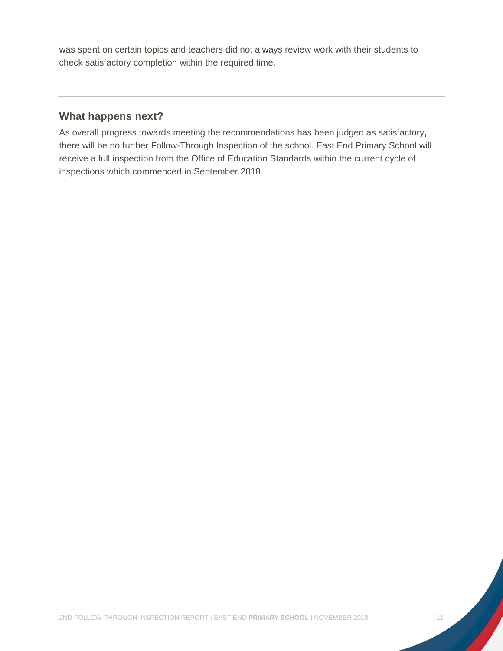was spent on certain topics and teachers did not always review work with their students to check satisfactory completion within the required time.

#### **What happens next?**

As overall progress towards meeting the recommendations has been judged as satisfactory**,**  there will be no further Follow-Through Inspection of the school. East End Primary School will receive a full inspection from the Office of Education Standards within the current cycle of inspections which commenced in September 2018.